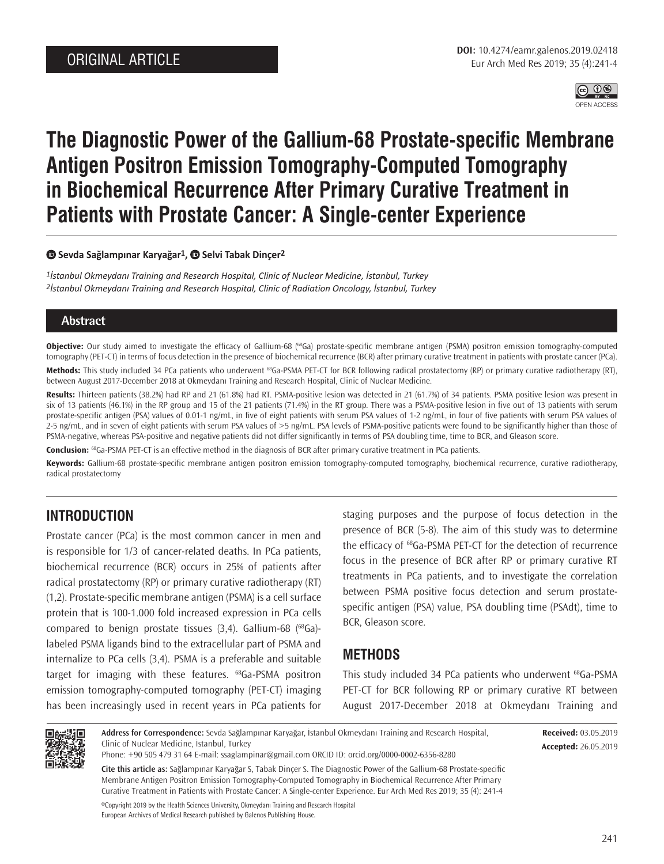

# **The Diagnostic Power of the Gallium-68 Prostate-specific Membrane Antigen Positron Emission Tomography-Computed Tomography in Biochemical Recurrence After Primary Curative Treatment in Patients with Prostate Cancer: A Single-center Experience**

#### **Sevda Sağlampınar Karyağar1,Selvi Tabak Dinçer2**

*1İstanbul Okmeydanı Training and Research Hospital, Clinic of Nuclear Medicine, İstanbul, Turkey 2İstanbul Okmeydanı Training and Research Hospital, Clinic of Radiation Oncology, İstanbul, Turkey*

## **Abstract**

**Objective:** Our study aimed to investigate the efficacy of Gallium-68 (<sup>68</sup>Ga) prostate-specific membrane antigen (PSMA) positron emission tomography-computed tomography (PET-CT) in terms of focus detection in the presence of biochemical recurrence (BCR) after primary curative treatment in patients with prostate cancer (PCa).

Methods: This study included 34 PCa patients who underwent <sup>68</sup>Ga-PSMA PET-CT for BCR following radical prostatectomy (RP) or primary curative radiotherapy (RT), between August 2017-December 2018 at Okmeydanı Training and Research Hospital, Clinic of Nuclear Medicine.

**Results:** Thirteen patients (38.2%) had RP and 21 (61.8%) had RT. PSMA-positive lesion was detected in 21 (61.7%) of 34 patients. PSMA positive lesion was present in six of 13 patients (46.1%) in the RP group and 15 of the 21 patients (71.4%) in the RT group. There was a PSMA-positive lesion in five out of 13 patients with serum prostate-specific antigen (PSA) values of 0.01-1 ng/mL, in five of eight patients with serum PSA values of 1-2 ng/mL, in four of five patients with serum PSA values of 2-5 ng/mL, and in seven of eight patients with serum PSA values of >5 ng/mL. PSA levels of PSMA-positive patients were found to be significantly higher than those of PSMA-negative, whereas PSA-positive and negative patients did not differ significantly in terms of PSA doubling time, time to BCR, and Gleason score.

**Conclusion:** 68Ga-PSMA PET-CT is an effective method in the diagnosis of BCR after primary curative treatment in PCa patients.

**Keywords:** Gallium-68 prostate-specific membrane antigen positron emission tomography-computed tomography, biochemical recurrence, curative radiotherapy, radical prostatectomy

# **INTRODUCTION**

Prostate cancer (PCa) is the most common cancer in men and is responsible for 1/3 of cancer-related deaths. In PCa patients, biochemical recurrence (BCR) occurs in 25% of patients after radical prostatectomy (RP) or primary curative radiotherapy (RT) (1,2). Prostate-specific membrane antigen (PSMA) is a cell surface protein that is 100-1.000 fold increased expression in PCa cells compared to benign prostate tissues  $(3,4)$ . Gallium-68  $(^{68}Ga)$ labeled PSMA ligands bind to the extracellular part of PSMA and internalize to PCa cells (3,4). PSMA is a preferable and suitable target for imaging with these features. <sup>68</sup>Ga-PSMA positron emission tomography-computed tomography (PET-CT) imaging has been increasingly used in recent years in PCa patients for

staging purposes and the purpose of focus detection in the presence of BCR (5-8). The aim of this study was to determine the efficacy of <sup>68</sup>Ga-PSMA PET-CT for the detection of recurrence focus in the presence of BCR after RP or primary curative RT treatments in PCa patients, and to investigate the correlation between PSMA positive focus detection and serum prostatespecific antigen (PSA) value, PSA doubling time (PSAdt), time to BCR, Gleason score.

## **METHODS**

This study included 34 PCa patients who underwent <sup>68</sup>Ga-PSMA PET-CT for BCR following RP or primary curative RT between August 2017-December 2018 at Okmeydanı Training and



**Address for Correspondence:** Sevda Sağlampınar Karyağar, İstanbul Okmeydanı Training and Research Hospital, Clinic of Nuclear Medicine, İstanbul, Turkey

**Received:** 03.05.2019 **Accepted:** 26.05.2019

Phone: +90 505 479 31 64 E-mail: ssaglampinar@gmail.com ORCID ID: orcid.org/0000-0002-6356-8280

**Cite this article as:** Sağlampınar Karyağar S, Tabak Dinçer S. The Diagnostic Power of the Gallium-68 Prostate-specific Membrane Antigen Positron Emission Tomography-Computed Tomography in Biochemical Recurrence After Primary Curative Treatment in Patients with Prostate Cancer: A Single-center Experience. Eur Arch Med Res 2019; 35 (4): 241-4

©Copyright 2019 by the Health Sciences University, Okmeydanı Training and Research Hospital European Archives of Medical Research published by Galenos Publishing House.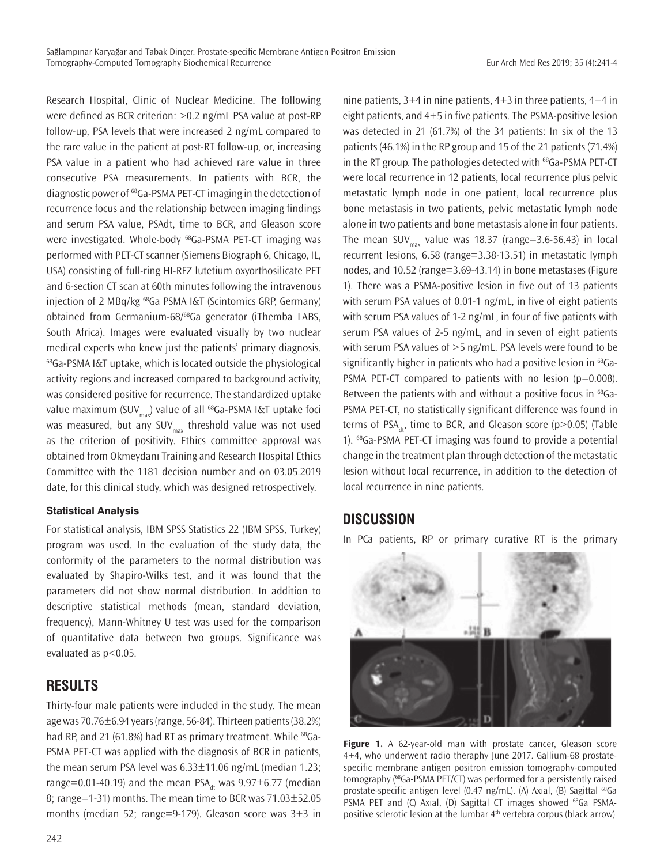Research Hospital, Clinic of Nuclear Medicine. The following were defined as BCR criterion: >0.2 ng/mL PSA value at post-RP follow-up, PSA levels that were increased 2 ng/mL compared to the rare value in the patient at post-RT follow-up, or, increasing PSA value in a patient who had achieved rare value in three consecutive PSA measurements. In patients with BCR, the diagnostic power of 68Ga-PSMA PET-CT imaging in the detection of recurrence focus and the relationship between imaging findings and serum PSA value, PSAdt, time to BCR, and Gleason score were investigated. Whole-body <sup>68</sup>Ga-PSMA PET-CT imaging was performed with PET-CT scanner (Siemens Biograph 6, Chicago, IL, USA) consisting of full-ring HI-REZ lutetium oxyorthosilicate PET and 6-section CT scan at 60th minutes following the intravenous injection of 2 MBq/kg 68Ga PSMA I&T (Scintomics GRP, Germany) obtained from Germanium-68/68Ga generator (iThemba LABS, South Africa). Images were evaluated visually by two nuclear medical experts who knew just the patients' primary diagnosis. 68Ga-PSMA I&T uptake, which is located outside the physiological activity regions and increased compared to background activity, was considered positive for recurrence. The standardized uptake value maximum (SUV<sub>max</sub>) value of all <sup>68</sup>Ga-PSMA I&T uptake foci was measured, but any SUV $_{\text{max}}$  threshold value was not used as the criterion of positivity. Ethics committee approval was obtained from Okmeydanı Training and Research Hospital Ethics Committee with the 1181 decision number and on 03.05.2019 date, for this clinical study, which was designed retrospectively.

### **Statistical Analysis**

For statistical analysis, IBM SPSS Statistics 22 (IBM SPSS, Turkey) program was used. In the evaluation of the study data, the conformity of the parameters to the normal distribution was evaluated by Shapiro-Wilks test, and it was found that the parameters did not show normal distribution. In addition to descriptive statistical methods (mean, standard deviation, frequency), Mann-Whitney U test was used for the comparison of quantitative data between two groups. Significance was evaluated as p<0.05.

# **RESULTS**

Thirty-four male patients were included in the study. The mean age was 70.76±6.94 years (range, 56-84). Thirteen patients (38.2%) had RP, and 21 (61.8%) had RT as primary treatment. While <sup>68</sup>Ga-PSMA PET-CT was applied with the diagnosis of BCR in patients, the mean serum PSA level was 6.33±11.06 ng/mL (median 1.23; range=0.01-40.19) and the mean PSA<sub>dt</sub> was  $9.97\pm6.77$  (median 8; range=1-31) months. The mean time to BCR was  $71.03 \pm 52.05$ months (median 52; range=9-179). Gleason score was 3+3 in

nine patients, 3+4 in nine patients, 4+3 in three patients, 4+4 in eight patients, and 4+5 in five patients. The PSMA-positive lesion was detected in 21 (61.7%) of the 34 patients: In six of the 13 patients (46.1%) in the RP group and 15 of the 21 patients (71.4%) in the RT group. The pathologies detected with <sup>68</sup>Ga-PSMA PET-CT were local recurrence in 12 patients, local recurrence plus pelvic metastatic lymph node in one patient, local recurrence plus bone metastasis in two patients, pelvic metastatic lymph node alone in two patients and bone metastasis alone in four patients. The mean SUV<sub>max</sub> value was 18.37 (range=3.6-56.43) in local recurrent lesions, 6.58 (range=3.38-13.51) in metastatic lymph nodes, and 10.52 (range=3.69-43.14) in bone metastases (Figure 1). There was a PSMA-positive lesion in five out of 13 patients with serum PSA values of 0.01-1 ng/mL, in five of eight patients with serum PSA values of 1-2 ng/mL, in four of five patients with serum PSA values of 2-5 ng/mL, and in seven of eight patients with serum PSA values of >5 ng/mL. PSA levels were found to be significantly higher in patients who had a positive lesion in <sup>68</sup>Ga-PSMA PET-CT compared to patients with no lesion ( $p=0.008$ ). Between the patients with and without a positive focus in <sup>68</sup>Ga-PSMA PET-CT, no statistically significant difference was found in terms of PSA<sub>4</sub>, time to BCR, and Gleason score ( $p > 0.05$ ) (Table 1). 68Ga-PSMA PET-CT imaging was found to provide a potential change in the treatment plan through detection of the metastatic lesion without local recurrence, in addition to the detection of local recurrence in nine patients.

## **DISCUSSION**

In PCa patients, RP or primary curative RT is the primary



Figure 1. A 62-year-old man with prostate cancer, Gleason score 4+4, who underwent radio theraphy June 2017. Gallium-68 prostatespecific membrane antigen positron emission tomography-computed tomography (68Ga-PSMA PET/CT) was performed for a persistently raised prostate-specific antigen level (0.47 ng/mL). (A) Axial, (B) Sagittal <sup>68</sup>Ga PSMA PET and (C) Axial, (D) Sagittal CT images showed <sup>68</sup>Ga PSMApositive sclerotic lesion at the lumbar 4<sup>th</sup> vertebra corpus (black arrow)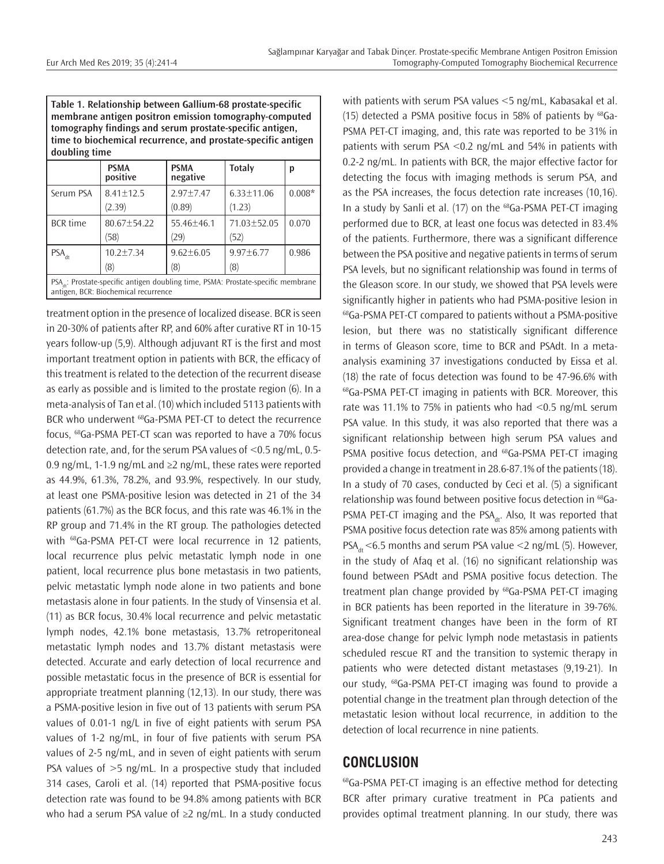| Table 1. Relationship between Gallium-68 prostate-specific    |
|---------------------------------------------------------------|
| membrane antigen positron emission tomography-computed        |
| tomography findings and serum prostate-specific antigen,      |
| time to biochemical recurrence, and prostate-specific antigen |
| doubling time                                                 |

|                                                                                                                                       | <b>PSMA</b><br>positive | <b>PSMA</b><br>negative | <b>Totaly</b>     | p        |  |
|---------------------------------------------------------------------------------------------------------------------------------------|-------------------------|-------------------------|-------------------|----------|--|
| Serum PSA                                                                                                                             | $8.41 \pm 12.5$         | $2.97 + 7.47$           | $6.33 \pm 11.06$  | $0.008*$ |  |
|                                                                                                                                       | (2.39)                  | (0.89)                  | (1.23)            |          |  |
| <b>BCR</b> time                                                                                                                       | 80.67±54.22             | $55.46 + 46.1$          | 71.03±52.05       | 0.070    |  |
|                                                                                                                                       | (58)                    | (29)                    | (52)              |          |  |
| $PSA_{\text{dt}}$                                                                                                                     | $10.2 \pm 7.34$         | $9.62 + 6.05$           | $9.97 + 6.77$     | 0.986    |  |
|                                                                                                                                       | (8)                     | (8)                     | $\left( 8\right)$ |          |  |
| PSA <sub>aa</sub> : Prostate-specific antigen doubling time, PSMA: Prostate-specific membrane<br>antigen, BCR: Biochemical recurrence |                         |                         |                   |          |  |

treatment option in the presence of localized disease. BCR is seen in 20-30% of patients after RP, and 60% after curative RT in 10-15 years follow-up (5,9). Although adjuvant RT is the first and most important treatment option in patients with BCR, the efficacy of this treatment is related to the detection of the recurrent disease as early as possible and is limited to the prostate region (6). In a meta-analysis of Tan et al. (10) which included 5113 patients with BCR who underwent <sup>68</sup>Ga-PSMA PET-CT to detect the recurrence focus, 68Ga-PSMA PET-CT scan was reported to have a 70% focus detection rate, and, for the serum PSA values of <0.5 ng/mL, 0.5- 0.9 ng/mL, 1-1.9 ng/mL and  $\geq$ 2 ng/mL, these rates were reported as 44.9%, 61.3%, 78.2%, and 93.9%, respectively. In our study, at least one PSMA-positive lesion was detected in 21 of the 34 patients (61.7%) as the BCR focus, and this rate was 46.1% in the RP group and 71.4% in the RT group. The pathologies detected with <sup>68</sup>Ga-PSMA PET-CT were local recurrence in 12 patients, local recurrence plus pelvic metastatic lymph node in one patient, local recurrence plus bone metastasis in two patients, pelvic metastatic lymph node alone in two patients and bone metastasis alone in four patients. In the study of Vinsensia et al. (11) as BCR focus, 30.4% local recurrence and pelvic metastatic lymph nodes, 42.1% bone metastasis, 13.7% retroperitoneal metastatic lymph nodes and 13.7% distant metastasis were detected. Accurate and early detection of local recurrence and possible metastatic focus in the presence of BCR is essential for appropriate treatment planning (12,13). In our study, there was a PSMA-positive lesion in five out of 13 patients with serum PSA values of 0.01-1 ng/L in five of eight patients with serum PSA values of 1-2 ng/mL, in four of five patients with serum PSA values of 2-5 ng/mL, and in seven of eight patients with serum PSA values of  $>5$  ng/mL. In a prospective study that included 314 cases, Caroli et al. (14) reported that PSMA-positive focus detection rate was found to be 94.8% among patients with BCR who had a serum PSA value of ≥2 ng/mL. In a study conducted

with patients with serum PSA values <5 ng/mL, Kabasakal et al. (15) detected a PSMA positive focus in 58% of patients by  $^{68}$ Ga-PSMA PET-CT imaging, and, this rate was reported to be 31% in patients with serum PSA <0.2 ng/mL and 54% in patients with 0.2-2 ng/mL. In patients with BCR, the major effective factor for detecting the focus with imaging methods is serum PSA, and as the PSA increases, the focus detection rate increases (10,16). In a study by Sanli et al. (17) on the <sup>68</sup>Ga-PSMA PET-CT imaging performed due to BCR, at least one focus was detected in 83.4% of the patients. Furthermore, there was a significant difference between the PSA positive and negative patients in terms of serum PSA levels, but no significant relationship was found in terms of the Gleason score. In our study, we showed that PSA levels were significantly higher in patients who had PSMA-positive lesion in 68Ga-PSMA PET-CT compared to patients without a PSMA-positive lesion, but there was no statistically significant difference in terms of Gleason score, time to BCR and PSAdt. In a metaanalysis examining 37 investigations conducted by Eissa et al. (18) the rate of focus detection was found to be 47-96.6% with 68Ga-PSMA PET-CT imaging in patients with BCR. Moreover, this rate was 11.1% to 75% in patients who had <0.5 ng/mL serum PSA value. In this study, it was also reported that there was a significant relationship between high serum PSA values and PSMA positive focus detection, and <sup>68</sup>Ga-PSMA PET-CT imaging provided a change in treatment in 28.6-87.1% of the patients (18). In a study of 70 cases, conducted by Ceci et al. (5) a significant relationship was found between positive focus detection in 68Ga-PSMA PET-CT imaging and the PSA $_{dt}$ . Also, It was reported that PSMA positive focus detection rate was 85% among patients with PSA<sub>4</sub> $\leq$ 6.5 months and serum PSA value  $\leq$  ng/mL (5). However, in the study of Afaq et al. (16) no significant relationship was found between PSAdt and PSMA positive focus detection. The treatment plan change provided by <sup>68</sup>Ga-PSMA PET-CT imaging in BCR patients has been reported in the literature in 39-76%. Significant treatment changes have been in the form of RT area-dose change for pelvic lymph node metastasis in patients scheduled rescue RT and the transition to systemic therapy in patients who were detected distant metastases (9,19-21). In our study, 68Ga-PSMA PET-CT imaging was found to provide a potential change in the treatment plan through detection of the metastatic lesion without local recurrence, in addition to the detection of local recurrence in nine patients.

## **CONCLUSION**

68Ga-PSMA PET-CT imaging is an effective method for detecting BCR after primary curative treatment in PCa patients and provides optimal treatment planning. In our study, there was